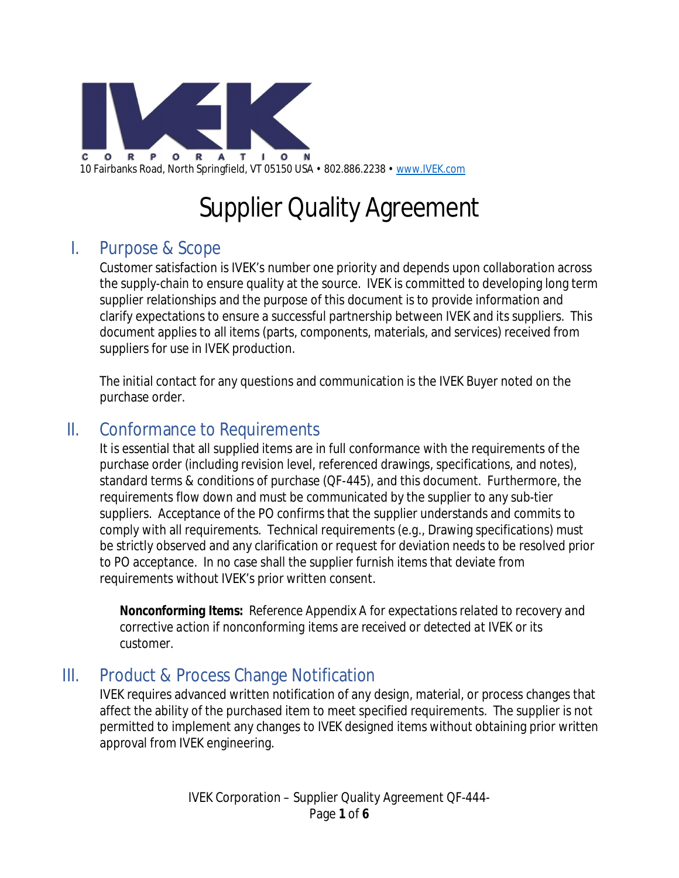

# Supplier Quality Agreement

### I. Purpose & Scope

Customer satisfaction is IVEK's number one priority and depends upon collaboration across the supply-chain to ensure quality at the source. IVEK is committed to developing long term supplier relationships and the purpose of this document is to provide information and clarify expectations to ensure a successful partnership between IVEK and its suppliers. This document applies to all items (parts, components, materials, and services) received from suppliers for use in IVEK production.

The initial contact for any questions and communication is the IVEK Buyer noted on the purchase order.

### II. Conformance to Requirements

It is essential that all supplied items are in full conformance with the requirements of the purchase order (including revision level, referenced drawings, specifications, and notes), standard terms & conditions of purchase (QF-445), and this document. Furthermore, the requirements flow down and must be communicated by the supplier to any sub-tier suppliers. Acceptance of the PO confirms that the supplier understands and commits to comply with all requirements. Technical requirements (e.g., Drawing specifications) must be strictly observed and any clarification or request for deviation needs to be resolved prior to PO acceptance. In no case shall the supplier furnish items that deviate from requirements without IVEK's prior written consent.

*Nonconforming Items: Reference Appendix A for expectations related to recovery and corrective action if nonconforming items are received or detected at IVEK or its customer.*

### III. Product & Process Change Notification

IVEK requires advanced written notification of any design, material, or process changes that affect the ability of the purchased item to meet specified requirements. The supplier is not permitted to implement any changes to IVEK designed items without obtaining prior written approval from IVEK engineering.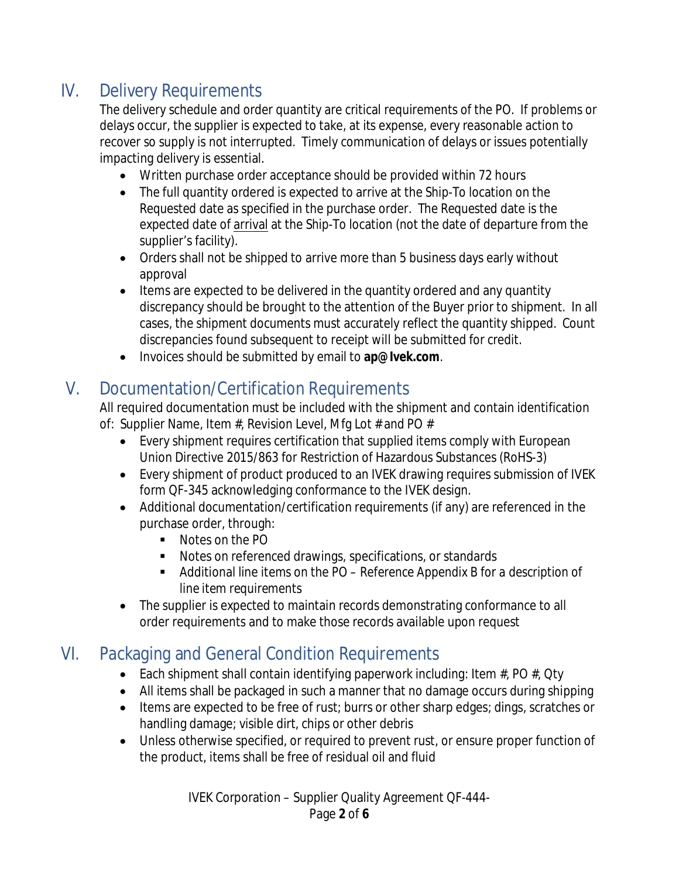# IV. Delivery Requirements

The delivery schedule and order quantity are critical requirements of the PO. If problems or delays occur, the supplier is expected to take, at its expense, every reasonable action to recover so supply is not interrupted. Timely communication of delays or issues potentially impacting delivery is essential.

- Written purchase order acceptance should be provided within 72 hours
- The full quantity ordered is expected to arrive at the *Ship-To* location on the *Requested* date as specified in the purchase order. The *Requested* date is the expected date of arrival at the *Ship-To* location (not the date of departure from the supplier's facility).
- Orders shall not be shipped to arrive more than 5 business days early without approval
- Items are expected to be delivered in the quantity ordered and any quantity discrepancy should be brought to the attention of the Buyer prior to shipment. In all cases, the shipment documents must accurately reflect the quantity shipped. Count discrepancies found subsequent to receipt will be submitted for credit.
- Invoices should be submitted by email to **ap@Ivek.com**.

## V. Documentation/Certification Requirements

All required documentation must be included with the shipment and contain identification of: Supplier Name, Item  $#$ , Revision Level, Mfg Lot  $#$  and PO  $#$ 

- Every shipment requires certification that supplied items comply with European Union Directive 2015/863 for Restriction of Hazardous Substances (RoHS-3)
- Every shipment of product produced to an IVEK drawing requires submission of IVEK form QF-345 acknowledging conformance to the IVEK design.
- Additional documentation/certification requirements (if any) are referenced in the purchase order, through:
	- Notes on the PO
	- Notes on referenced drawings, specifications, or standards
	- Additional line items on the PO  *Reference Appendix B for a description of line item requirements*
- The supplier is expected to maintain records demonstrating conformance to all order requirements and to make those records available upon request

# VI. Packaging and General Condition Requirements

- Each shipment shall contain identifying paperwork including: Item  $\#$ , PO  $\#$ , Qty
- All items shall be packaged in such a manner that no damage occurs during shipping
- Items are expected to be free of rust; burrs or other sharp edges; dings, scratches or handling damage; visible dirt, chips or other debris
- Unless otherwise specified, or required to prevent rust, or ensure proper function of the product, items shall be free of residual oil and fluid

IVEK Corporation – Supplier Quality Agreement QF-444- Page **2** of **6**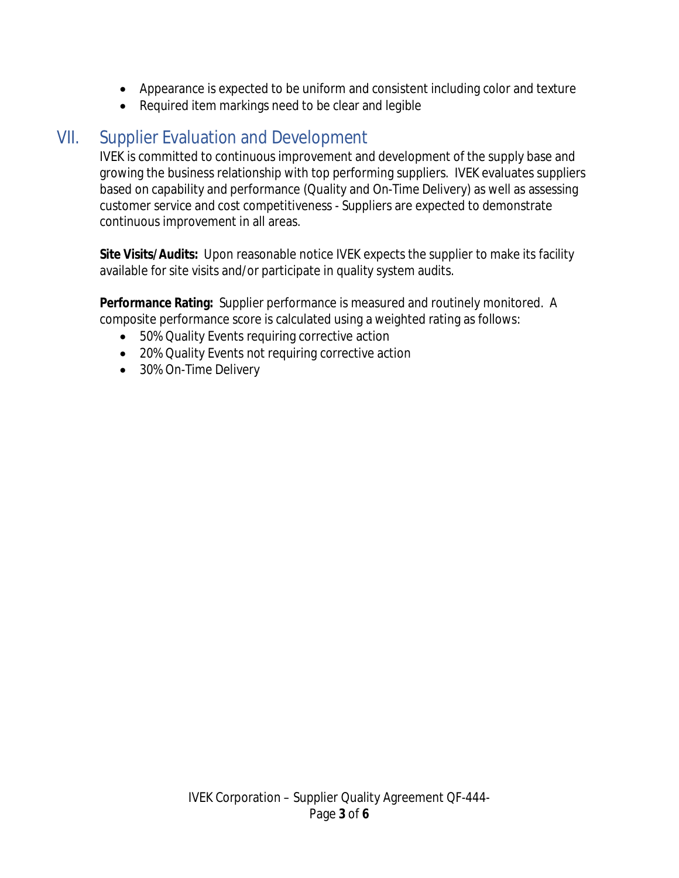- Appearance is expected to be uniform and consistent including color and texture
- Required item markings need to be clear and legible

### VII. Supplier Evaluation and Development

IVEK is committed to continuous improvement and development of the supply base and growing the business relationship with top performing suppliers. IVEK evaluates suppliers based on capability and performance (Quality and On-Time Delivery) as well as assessing customer service and cost competitiveness - Suppliers are expected to demonstrate continuous improvement in all areas.

**Site Visits/Audits:** Upon reasonable notice IVEK expects the supplier to make its facility available for site visits and/or participate in quality system audits.

**Performance Rating:** Supplier performance is measured and routinely monitored. A composite performance score is calculated using a weighted rating as follows:

- 50% Quality Events requiring corrective action
- 20% Quality Events not requiring corrective action
- 30% On-Time Delivery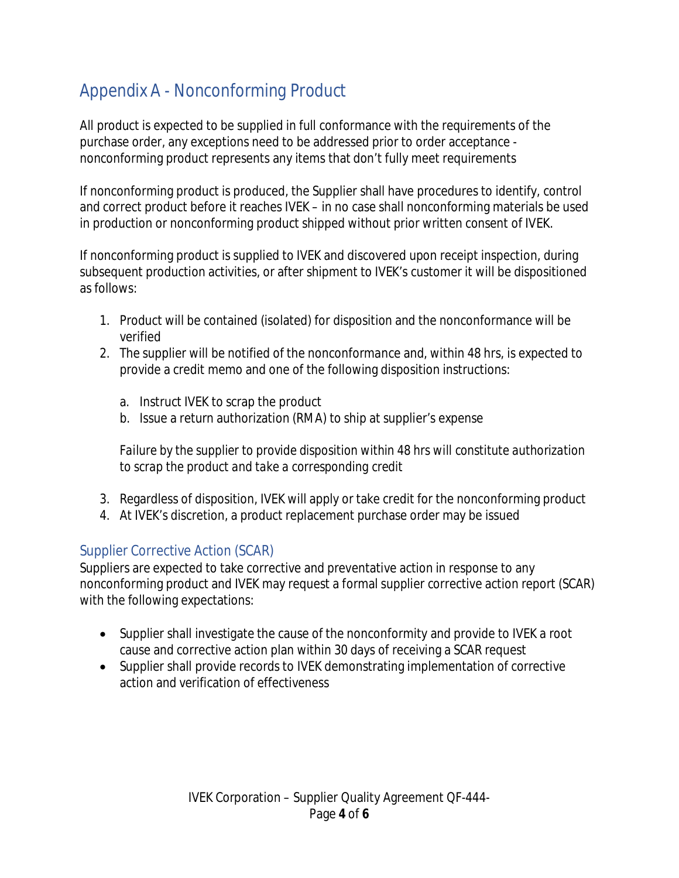# Appendix A - Nonconforming Product

All product is expected to be supplied in full conformance with the requirements of the purchase order, any exceptions need to be addressed prior to order acceptance nonconforming product represents any items that don't fully meet requirements

If nonconforming product is produced, the Supplier shall have procedures to identify, control and correct product before it reaches IVEK – in no case shall nonconforming materials be used in production or nonconforming product shipped without prior written consent of IVEK.

If nonconforming product is supplied to IVEK and discovered upon receipt inspection, during subsequent production activities, or after shipment to IVEK's customer it will be dispositioned as follows:

- 1. Product will be contained (isolated) for disposition and the nonconformance will be verified
- 2. The supplier will be notified of the nonconformance and, within 48 hrs, is expected to provide a credit memo and one of the following disposition instructions:
	- a. Instruct IVEK to scrap the product
	- b. Issue a return authorization (RMA) to ship at supplier's expense

*Failure by the supplier to provide disposition within 48 hrs will constitute authorization to scrap the product and take a corresponding credit*

- 3. Regardless of disposition, IVEK will apply or take credit for the nonconforming product
- 4. At IVEK's discretion, a product replacement purchase order may be issued

#### Supplier Corrective Action (SCAR)

Suppliers are expected to take corrective and preventative action in response to any nonconforming product and IVEK may request a formal supplier corrective action report (SCAR) with the following expectations:

- Supplier shall investigate the cause of the nonconformity and provide to IVEK a root cause and corrective action plan within 30 days of receiving a SCAR request
- Supplier shall provide records to IVEK demonstrating implementation of corrective action and verification of effectiveness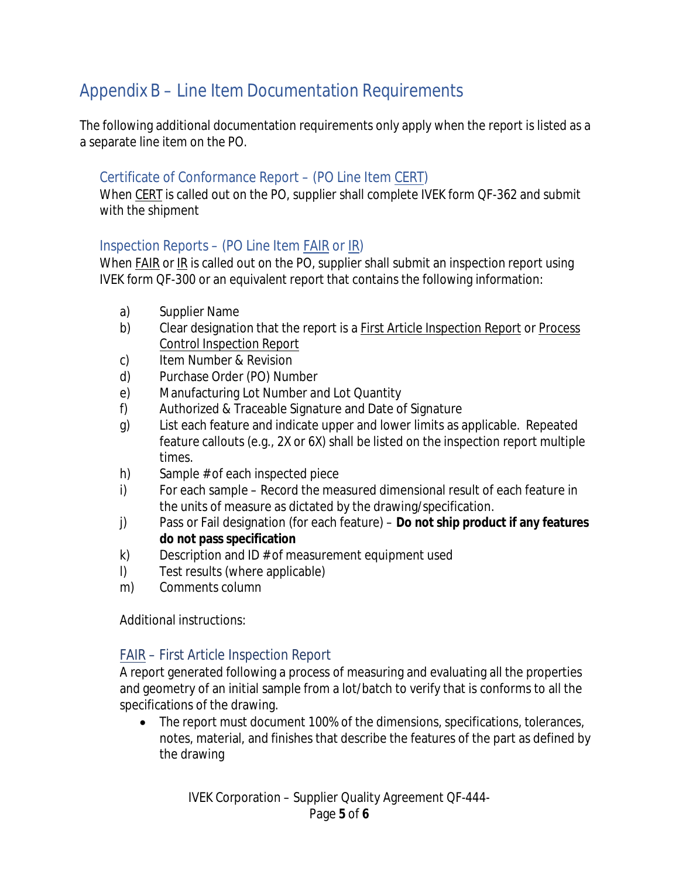# Appendix B – Line Item Documentation Requirements

The following additional documentation requirements only apply when the report is listed as a a separate line item on the PO.

#### Certificate of Conformance Report – (PO Line Item CERT)

When CERT is called out on the PO, supplier shall complete IVEK form QF-362 and submit with the shipment

### Inspection Reports – (PO Line Item FAIR or IR)

When FAIR or IR is called out on the PO, supplier shall submit an inspection report using IVEK form QF-300 or an equivalent report that contains the following information:

- a) Supplier Name
- b) Clear designation that the report is a First Article Inspection Report or Process Control Inspection Report
- c) Item Number & Revision
- d) Purchase Order (PO) Number
- e) Manufacturing Lot Number and Lot Quantity
- f) Authorized & Traceable Signature and Date of Signature
- g) List each feature and indicate upper and lower limits as applicable. Repeated feature callouts (e.g., 2X or 6X) shall be listed on the inspection report multiple times.
- h) Sample # of each inspected piece
- i) For each sample Record the measured dimensional result of each feature in the units of measure as dictated by the drawing/specification.
- j) Pass or Fail designation (for each feature) **Do not ship product if any features do not pass specification**
- k) Description and ID # of measurement equipment used
- l) Test results (where applicable)
- m) Comments column

Additional instructions:

#### FAIR – First Article Inspection Report

A report generated following a process of measuring and evaluating all the properties and geometry of an initial sample from a lot/batch to verify that is conforms to all the specifications of the drawing.

• The report must document 100% of the dimensions, specifications, tolerances, notes, material, and finishes that describe the features of the part as defined by the drawing